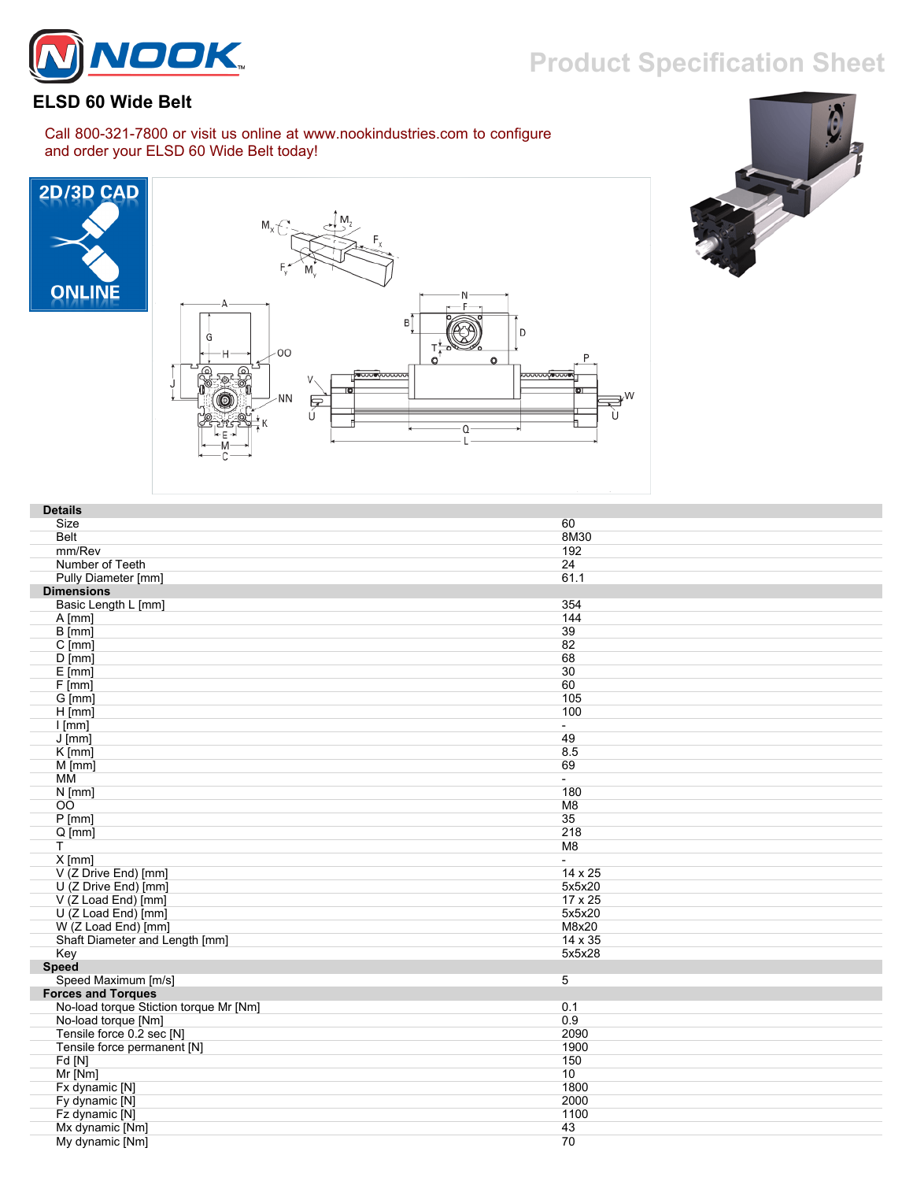## **Product Specification Sheet**



## **ELSD 60 Wide Belt**

Call 800-321-7800 or visit us online at www.nookindustries.com to configure and order your ELSD 60 Wide Belt today!







| <b>Details</b>                         |                          |
|----------------------------------------|--------------------------|
| Size                                   | 60                       |
| <b>Belt</b>                            | 8M30                     |
| mm/Rev                                 | 192                      |
| Number of Teeth                        | 24                       |
| Pully Diameter [mm]                    | 61.1                     |
| <b>Dimensions</b>                      |                          |
| Basic Length L [mm]                    | 354                      |
| $A$ [mm]                               | 144                      |
| B [mm]                                 | 39                       |
| $C$ [mm]                               | 82                       |
| $D$ [mm]                               | 68                       |
| $E$ [mm]                               | 30                       |
| $F$ [mm]                               | 60                       |
| G [mm]                                 | 105                      |
| $H$ [mm]                               | 100                      |
| $l$ [mm]                               | $\sim$                   |
| $J$ [mm]                               | 49                       |
| K [mm]                                 | 8.5                      |
| $M$ [mm]                               | 69                       |
| MM                                     | $\sim$                   |
| $N$ [mm]                               | 180                      |
| <b>OO</b>                              | M8                       |
| P[mm]                                  | 35                       |
| $Q$ [mm]                               | 218                      |
| T                                      | M <sub>8</sub>           |
| $X$ [mm]                               | $\overline{\phantom{0}}$ |
| V (Z Drive End) [mm]                   | 14 x 25                  |
| U (Z Drive End) [mm]                   | 5x5x20                   |
| V (Z Load End) [mm]                    | 17 x 25                  |
| U (Z Load End) [mm]                    | 5x5x20                   |
| W (Z Load End) [mm]                    | M8x20                    |
| Shaft Diameter and Length [mm]         | 14 x 35                  |
| Key                                    | 5x5x28                   |
| <b>Speed</b>                           |                          |
| Speed Maximum [m/s]                    | 5                        |
| <b>Forces and Torques</b>              |                          |
| No-load torque Stiction torque Mr [Nm] | 0.1                      |
| No-load torque [Nm]                    | 0.9                      |
| Tensile force 0.2 sec [N]              | 2090                     |
| Tensile force permanent [N]            | 1900                     |
| Fd[N]                                  | 150                      |
| Mr [Nm]                                | 10                       |
| Fx dynamic [N]                         | 1800                     |
| Fy dynamic [N]                         | 2000                     |
| Fz dynamic [N]                         | 1100                     |
| Mx dynamic [Nm]                        | 43                       |
| My dynamic [Nm]                        | 70                       |
|                                        |                          |